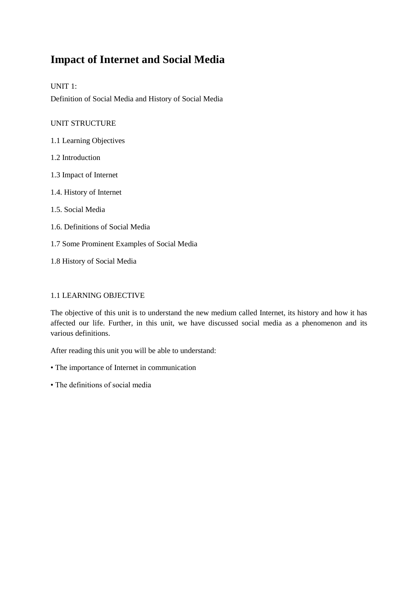# **Impact of Internet and Social Media**

UNIT 1: Definition of Social Media and History of Social Media

### UNIT STRUCTURE

- 1.1 Learning Objectives
- 1.2 Introduction
- 1.3 Impact of Internet
- 1.4. History of Internet
- 1.5. Social Media
- 1.6. Definitions of Social Media
- 1.7 Some Prominent Examples of Social Media
- 1.8 History of Social Media

#### 1.1 LEARNING OBJECTIVE

The objective of this unit is to understand the new medium called Internet, its history and how it has affected our life. Further, in this unit, we have discussed social media as a phenomenon and its various definitions.

After reading this unit you will be able to understand:

- The importance of Internet in communication
- The definitions of social media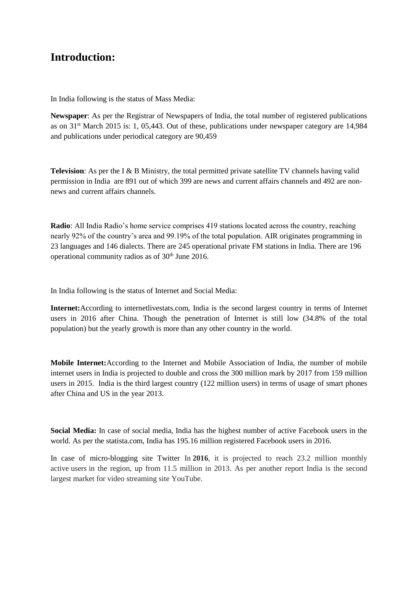## **Introduction:**

In India following is the status of Mass Media:

**Newspaper**: As per the Registrar of Newspapers of India, the total number of registered publications as on 31st March 2015 is: 1, 05,443. Out of these, publications under newspaper category are 14,984 and publications under periodical category are 90,459

**Television:** As per the I & B Ministry, the total permitted private satellite TV channels having valid permission in India are 891 out of which 399 are news and current affairs channels and 492 are nonnews and current affairs channels.

**Radio**: All India Radio's home service comprises 419 stations located across the country, reaching nearly 92% of the country's area and 99.19% of the total population. AIR originates programming in 23 languages and 146 dialects. There are 245 operational private FM stations in India. There are 196 operational community radios as of  $30<sup>th</sup>$  June 2016.

In India following is the status of Internet and Social Media:

**Internet:**According to internetlivestats.com, India is the second largest country in terms of Internet users in 2016 after China. Though the penetration of Internet is still low (34.8% of the total population) but the yearly growth is more than any other country in the world.

**Mobile Internet:**According to the Internet and Mobile Association of India, the number of mobile internet users in India is projected to double and cross the 300 million mark by 2017 from 159 million users in 2015. India is the third largest country (122 million users) in terms of usage of smart phones after China and US in the year 2013.

**Social Media:** In case of social media, India has the highest number of active Facebook users in the world. As per the statista.com, India has 195.16 million registered Facebook users in 2016.

In case of micro-blogging site Twitter In **2016**, it is projected to reach 23.2 million monthly active users in the region, up from 11.5 million in 2013. As per another report India is the second largest market for video streaming site YouTube.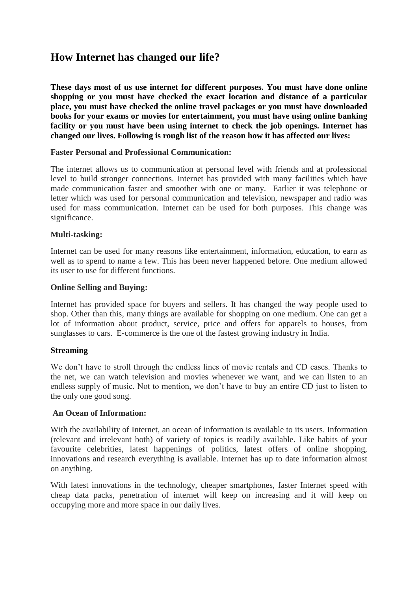## **How Internet has changed our life?**

**These days most of us use internet for different purposes. You must have done online shopping or you must have checked the exact location and distance of a particular place, you must have checked the online travel packages or you must have downloaded books for your exams or movies for entertainment, you must have using online banking facility or you must have been using internet to check the job openings. Internet has changed our lives. Following is rough list of the reason how it has affected our lives:**

#### **Faster Personal and Professional Communication:**

The internet allows us to communication at personal level with friends and at professional level to build stronger connections. Internet has provided with many facilities which have made communication faster and smoother with one or many. Earlier it was telephone or letter which was used for personal communication and television, newspaper and radio was used for mass communication. Internet can be used for both purposes. This change was significance.

#### **Multi-tasking:**

Internet can be used for many reasons like entertainment, information, education, to earn as well as to spend to name a few. This has been never happened before. One medium allowed its user to use for different functions.

#### **Online Selling and Buying:**

Internet has provided space for buyers and sellers. It has changed the way people used to shop. Other than this, many things are available for shopping on one medium. One can get a lot of information about product, service, price and offers for apparels to houses, from sunglasses to cars. E-commerce is the one of the fastest growing industry in India.

#### **Streaming**

We don't have to stroll through the endless lines of movie rentals and CD cases. Thanks to the net, we can watch television and movies whenever we want, and we can listen to an endless supply of music. Not to mention, we don't have to buy an entire CD just to listen to the only one good song.

#### **An Ocean of Information:**

With the availability of Internet, an ocean of information is available to its users. Information (relevant and irrelevant both) of variety of topics is readily available. Like habits of your favourite celebrities, latest happenings of politics, latest offers of online shopping, innovations and research everything is available. Internet has up to date information almost on anything.

With latest innovations in the technology, cheaper smartphones, faster Internet speed with cheap data packs, penetration of internet will keep on increasing and it will keep on occupying more and more space in our daily lives.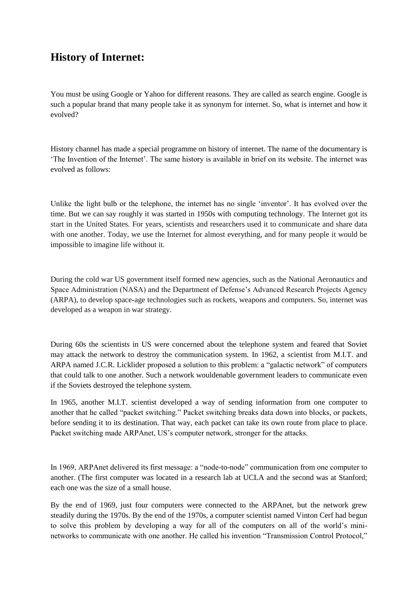## **History of Internet:**

You must be using Google or Yahoo for different reasons. They are called as search engine. Google is such a popular brand that many people take it as synonym for internet. So, what is internet and how it evolved?

History channel has made a special programme on history of internet. The name of the documentary is 'The Invention of the Internet'. The same history is available in brief on its website. The internet was evolved as follows:

Unlike the light bulb or the telephone, the internet has no single 'inventor'. It has evolved over the time. But we can say roughly it was started in 1950s with computing technology. The Internet got its start in the United States. For years, scientists and researchers used it to communicate and share data with one another. Today, we use the Internet for almost everything, and for many people it would be impossible to imagine life without it.

During the cold war US government itself formed new agencies, such as the National Aeronautics and Space Administration (NASA) and the Department of Defense's Advanced Research Projects Agency (ARPA), to develop space-age technologies such as rockets, weapons and computers. So, internet was developed as a weapon in war strategy.

During 60s the scientists in US were concerned about the telephone system and feared that Soviet may attack the network to destroy the communication system. In 1962, a scientist from M.I.T. and ARPA named J.C.R. Licklider proposed a solution to this problem: a "galactic network" of computers that could talk to one another. Such a network wouldenable government leaders to communicate even if the Soviets destroyed the telephone system.

In 1965, another M.I.T. scientist developed a way of sending information from one computer to another that he called "packet switching." Packet switching breaks data down into blocks, or packets, before sending it to its destination. That way, each packet can take its own route from place to place. Packet switching made ARPAnet, US's computer network, stronger for the attacks.

In 1969, ARPAnet delivered its first message: a "node-to-node" communication from one computer to another. (The first computer was located in a research lab at UCLA and the second was at Stanford; each one was the size of a small house.

By the end of 1969, just four computers were connected to the ARPAnet, but the network grew steadily during the 1970s. By the end of the 1970s, a computer scientist named Vinton Cerf had begun to solve this problem by developing a way for all of the computers on all of the world's mininetworks to communicate with one another. He called his invention "Transmission Control Protocol,"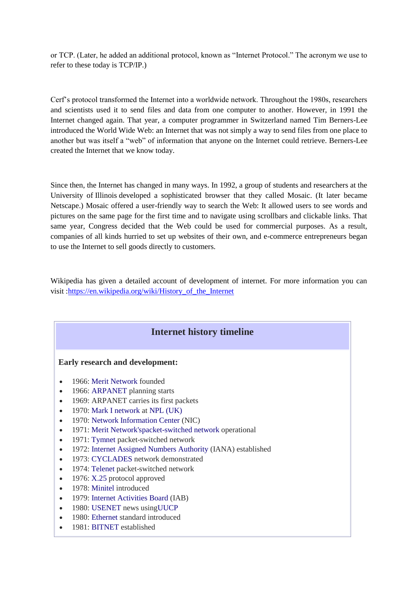or TCP. (Later, he added an additional protocol, known as "Internet Protocol." The acronym we use to refer to these today is TCP/IP.)

Cerf's protocol transformed the Internet into a worldwide network. Throughout the 1980s, researchers and scientists used it to send files and data from one computer to another. However, in 1991 the Internet changed again. That year, a computer programmer in Switzerland named Tim Berners-Lee introduced the World Wide Web: an Internet that was not simply a way to send files from one place to another but was itself a "web" of information that anyone on the Internet could retrieve. Berners-Lee created the Internet that we know today.

Since then, the Internet has changed in many ways. In 1992, a group of students and researchers at the University of Illinois developed a sophisticated browser that they called Mosaic. (It later became Netscape.) Mosaic offered a user-friendly way to search the Web: It allowed users to see words and pictures on the same page for the first time and to navigate using scrollbars and clickable links. That same year, Congress decided that the Web could be used for commercial purposes. As a result, companies of all kinds hurried to set up websites of their own, and e-commerce entrepreneurs began to use the Internet to sell goods directly to customers.

Wikipedia has given a detailed account of development of internet. For more information you can visit [:https://en.wikipedia.org/wiki/History\\_of\\_the\\_Internet](https://en.wikipedia.org/wiki/History_of_the_Internet)

| <b>Internet history timeline</b>                                          |  |  |
|---------------------------------------------------------------------------|--|--|
| <b>Early research and development:</b>                                    |  |  |
| 1966: Merit Network founded<br>$\bullet$                                  |  |  |
| 1966: ARPANET planning starts<br>$\bullet$                                |  |  |
| 1969: ARPANET carries its first packets<br>$\bullet$                      |  |  |
| 1970: Mark I network at NPL (UK)<br>$\bullet$                             |  |  |
| 1970: Network Information Center (NIC)<br>$\bullet$                       |  |  |
| 1971: Merit Network'spacket-switched network operational<br>$\bullet$     |  |  |
| 1971: Tymnet packet-switched network<br>$\bullet$                         |  |  |
| 1972: Internet Assigned Numbers Authority (IANA) established<br>$\bullet$ |  |  |
| 1973: CYCLADES network demonstrated<br>$\bullet$                          |  |  |
| 1974: Telenet packet-switched network<br>$\bullet$                        |  |  |
| 1976: X.25 protocol approved<br>$\bullet$                                 |  |  |
| 1978: Minitel introduced<br>$\bullet$                                     |  |  |
| 1979: Internet Activities Board (IAB)<br>$\bullet$                        |  |  |
| 1980: USENET news usingUUCP<br>$\bullet$                                  |  |  |
| 1980: Ethernet standard introduced                                        |  |  |
| 1981: BITNET established                                                  |  |  |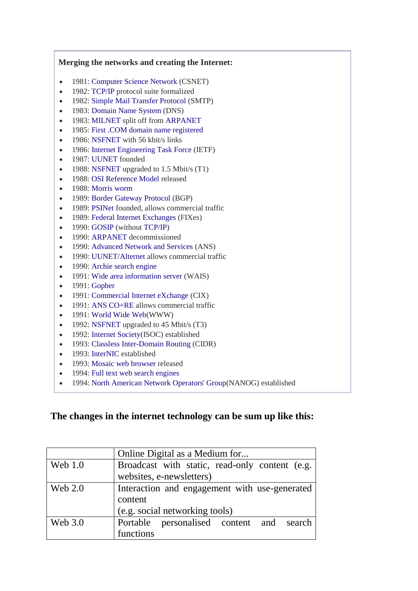### **Merging the networks and creating the Internet:**

- 1981: [Computer Science Network](https://en.wikipedia.org/wiki/CSNET) (CSNET)
- 1982: [TCP/IP](https://en.wikipedia.org/wiki/TCP/IP) protocol suite formalized
- 1982: [Simple Mail Transfer Protocol](https://en.wikipedia.org/wiki/Simple_Mail_Transfer_Protocol) (SMTP)
- 1983: [Domain Name System](https://en.wikipedia.org/wiki/Domain_Name_System) (DNS)
- 1983: [MILNET](https://en.wikipedia.org/wiki/MILNET) split off from [ARPANET](https://en.wikipedia.org/wiki/ARPANET)
- 1985: [First .COM domain name registered](https://en.wikipedia.org/wiki/Domain_names#Domain_name_registration)
- 1986: [NSFNET](https://en.wikipedia.org/wiki/NSFNET) with 56 kbit/s links
- 1986: [Internet Engineering Task Force](https://en.wikipedia.org/wiki/Internet_Engineering_Task_Force) (IETF)
- 1987: [UUNET](https://en.wikipedia.org/wiki/UUNET) founded
- 1988: [NSFNET](https://en.wikipedia.org/wiki/NSFNET) upgraded to 1.5 Mbit/s (T1)
- 1988: [OSI Reference Model](https://en.wikipedia.org/wiki/OSI_model) released
- 1988: [Morris worm](https://en.wikipedia.org/wiki/Morris_worm)
- 1989: [Border Gateway Protocol](https://en.wikipedia.org/wiki/Border_Gateway_Protocol) (BGP)
- 1989: [PSINet](https://en.wikipedia.org/wiki/PSINet) founded, allows commercial traffic
- 1989: [Federal Internet Exchanges](https://en.wikipedia.org/wiki/FIX_East) (FIXes)
- 1990: [GOSIP](https://en.wikipedia.org/wiki/GOSIP) (without [TCP/IP\)](https://en.wikipedia.org/wiki/TCP/IP)
- 1990: [ARPANET](https://en.wikipedia.org/wiki/ARPANET) decommissioned
- 1990: [Advanced Network and Services](https://en.wikipedia.org/wiki/Advanced_Network_and_Services) (ANS)
- 1990: [UUNET/Alternet](https://en.wikipedia.org/wiki/UUNET#Early_existence) allows commercial traffic
- 1990: [Archie search engine](https://en.wikipedia.org/wiki/Archie_search_engine)
- 1991: [Wide area information server](https://en.wikipedia.org/wiki/Wide_area_information_server) (WAIS)
- $\bullet$  1991: [Gopher](https://en.wikipedia.org/wiki/Gopher_(protocol))
- 1991: [Commercial Internet eXchange](https://en.wikipedia.org/wiki/Commercial_Internet_eXchange) (CIX)
- 1991: [ANS CO+RE](https://en.wikipedia.org/wiki/ANS_CO%2BRE) allows commercial traffic
- 1991: [World Wide Web\(](https://en.wikipedia.org/wiki/World_Wide_Web)WWW)
- 1992: [NSFNET](https://en.wikipedia.org/wiki/NSFNET) upgraded to 45 Mbit/s (T3)
- 1992: [Internet Society\(](https://en.wikipedia.org/wiki/Internet_Society)ISOC) established
- 1993: [Classless Inter-Domain Routing](https://en.wikipedia.org/wiki/Classless_Inter-Domain_Routing) (CIDR)
- 1993: [InterNIC](https://en.wikipedia.org/wiki/InterNIC) established
- 1993: [Mosaic web browser](https://en.wikipedia.org/wiki/Mosaic_(web_browser)) released
- 1994: [Full text web search engines](https://en.wikipedia.org/wiki/Web_search_engine)
- 1994: [North American Network Operators' Group\(](https://en.wikipedia.org/wiki/North_American_Network_Operators%27_Group)NANOG) established

## **The changes in the internet technology can be sum up like this:**

|           | Online Digital as a Medium for                 |
|-----------|------------------------------------------------|
| Web $1.0$ | Broadcast with static, read-only content (e.g. |
|           | websites, e-newsletters)                       |
| Web $2.0$ | Interaction and engagement with use-generated  |
|           | content                                        |
|           | (e.g. social networking tools)                 |
| Web $3.0$ | Portable personalised content and<br>search    |
|           | functions                                      |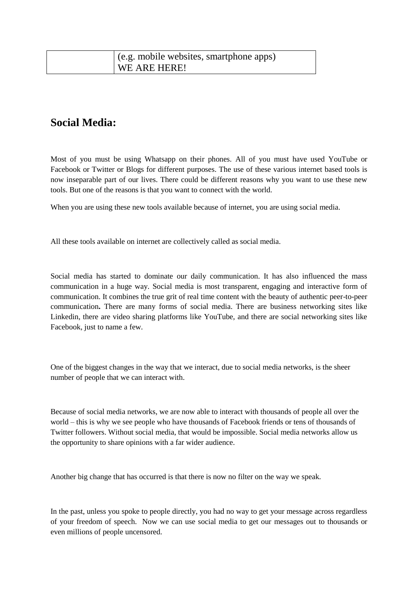### (e.g. mobile websites, smartphone apps) WE ARE HERE!

# **Social Media:**

Most of you must be using Whatsapp on their phones. All of you must have used YouTube or Facebook or Twitter or Blogs for different purposes. The use of these various internet based tools is now inseparable part of our lives. There could be different reasons why you want to use these new tools. But one of the reasons is that you want to connect with the world.

When you are using these new tools available because of internet, you are using social media.

All these tools available on internet are collectively called as social media.

Social media has started to dominate our daily communication. It has also influenced the mass communication in a huge way. Social media is most transparent, engaging and interactive form of communication. It combines the true grit of real time content with the beauty of authentic peer-to-peer communication**.** There are many forms of social media. There are business networking sites like Linkedin, there are video sharing platforms like YouTube, and there are social networking sites like Facebook, just to name a few.

One of the biggest changes in the way that we interact, due to social media networks, is the sheer number of people that we can interact with.

Because of social media networks, we are now able to interact with thousands of people all over the world – this is why we see people who have thousands of Facebook friends or tens of thousands of Twitter followers. Without social media, that would be impossible. Social media networks allow us the opportunity to share opinions with a far wider audience.

Another big change that has occurred is that there is now no filter on the way we speak.

In the past, unless you spoke to people directly, you had no way to get your message across regardless of your freedom of speech. Now we can use social media to get our messages out to thousands or even millions of people uncensored.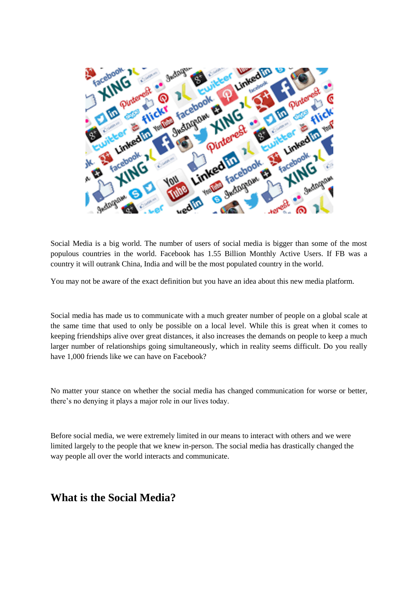

Social Media is a big world. The number of users of social media is bigger than some of the most populous countries in the world. Facebook has 1.55 Billion Monthly Active Users. If FB was a country it will outrank China, India and will be the most populated country in the world.

You may not be aware of the exact definition but you have an idea about this new media platform.

Social media has made us to communicate with a much greater number of people on a global scale at the same time that used to only be possible on a local level. While this is great when it comes to keeping friendships alive over great distances, it also increases the demands on people to keep a much larger number of relationships going simultaneously, which in reality seems difficult. Do you really have 1,000 friends like we can have on Facebook?

No matter your stance on whether the social media has changed communication for worse or better, there's no denying it plays a major role in our lives today.

Before social media, we were extremely limited in our means to interact with others and we were limited largely to the people that we knew in-person. The social media has drastically changed the way people all over the world interacts and communicate.

## **What is the Social Media?**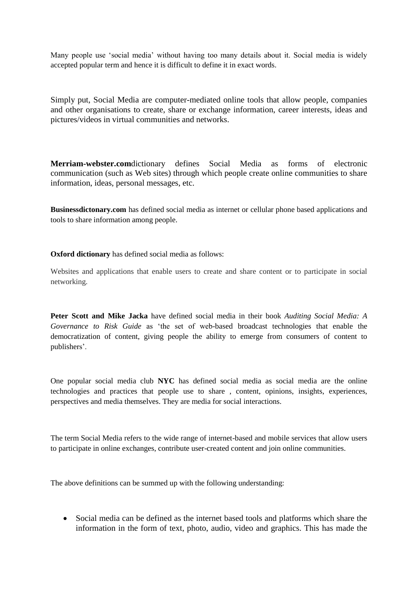Many people use 'social media' without having too many details about it. Social media is widely accepted popular term and hence it is difficult to define it in exact words.

Simply put, Social Media are computer-mediated online tools that allow people, companies and other organisations to create, share or exchange information, career interests, ideas and pictures/videos in virtual communities and networks.

**Merriam-webster.com**dictionary defines Social Media as forms of electronic communication (such as Web sites) through which people create online communities to share information, ideas, personal messages, etc.

**Businessdictonary.com** has defined social media as internet or cellular phone based applications and tools to share information among people.

**Oxford dictionary** has defined social media as follows:

Websites and applications that enable users to create and share content or to participate in social networking.

**Peter Scott and Mike Jacka** have defined social media in their book *Auditing Social Media: A Governance to Risk Guide* as 'the set of web-based broadcast technologies that enable the democratization of content, giving people the ability to emerge from consumers of content to publishers'.

One popular social media club **NYC** has defined social media as social media are the online technologies and practices that people use to share , content, opinions, insights, experiences, perspectives and media themselves. They are media for social interactions.

The term Social Media refers to the wide range of internet-based and mobile services that allow users to participate in online exchanges, contribute user-created content and join online communities.

The above definitions can be summed up with the following understanding:

 Social media can be defined as the internet based tools and platforms which share the information in the form of text, photo, audio, video and graphics. This has made the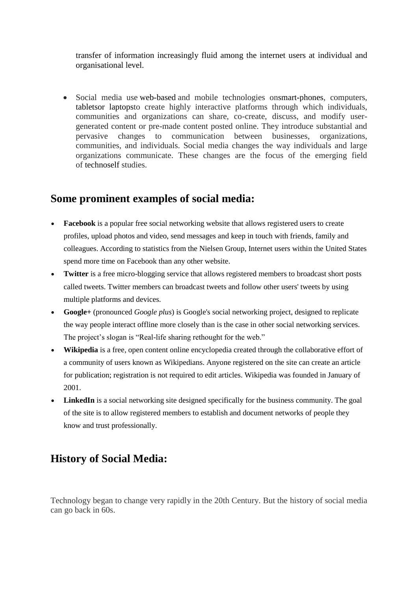transfer of information increasingly fluid among the internet users at individual and organisational level.

 Social media use web-based and mobile technologies onsmart-phones, computers, tabletsor laptopsto create highly interactive platforms through which individuals, communities and organizations can share, co-create, discuss, and modify usergenerated content or pre-made content posted online. They introduce substantial and pervasive changes to communication between businesses, organizations, communities, and individuals. Social media changes the way individuals and large organizations communicate. These changes are the focus of the emerging field of technoself studies.

## **Some prominent examples of social media:**

- **[Facebook](http://whatis.techtarget.com/definition/Facebook)** is a popular free social networking website that allows registered users to create profiles, upload photos and video, send messages and keep in touch with friends, family and colleagues. According to statistics from the Nielsen Group, Internet users within the United States spend more time on Facebook than any other website.
- **[Twitter](http://whatis.techtarget.com/definition/Twitter)** is a free micro-blogging service that allows registered members to broadcast short posts called tweets. Twitter members can broadcast tweets and follow other users' tweets by using multiple platforms and devices.
- **[Google+](http://whatis.techtarget.com/definition/Google-plus)** (pronounced *Google plus*) is Google's social networking project, designed to replicate the way people interact offline more closely than is the case in other social networking services. The project's slogan is "Real-life sharing rethought for the web."
- **[Wikipedia](http://whatis.techtarget.com/definition/Wikipedia)** is a free, open content online encyclopedia created through the collaborative effort of a community of users known as Wikipedians. Anyone registered on the site can create an article for publication; registration is not required to edit articles. Wikipedia was founded in January of 2001.
- LinkedIn is a social networking site designed specifically for the business community. The goal of the site is to allow registered members to establish and document networks of people they know and trust professionally.

## **History of Social Media:**

Technology began to change very rapidly in the 20th Century. But the history of social media can go back in 60s.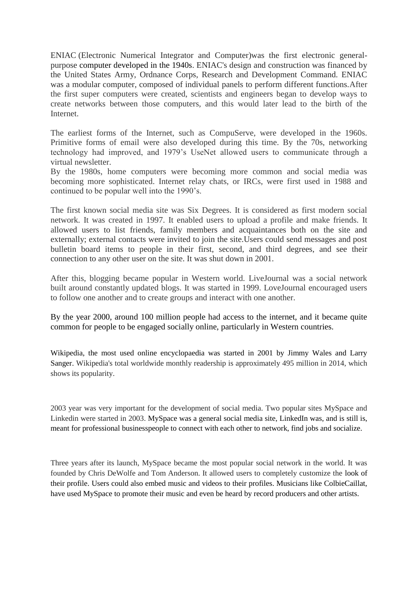ENIAC (Electronic Numerical Integrator and Computer)was the first electronic generalpurpose computer developed in the 1940s. ENIAC's design and construction was financed by the United States Army, Ordnance Corps, Research and Development Command. ENIAC was a modular computer, composed of individual panels to perform different functions.After the first super computers were created, scientists and engineers began to develop ways to create networks between those computers, and this would later lead to the birth of the Internet.

The earliest forms of the Internet, such as CompuServe, were developed in the 1960s. Primitive forms of email were also developed during this time. By the 70s, networking technology had improved, and 1979's UseNet allowed users to communicate through a virtual newsletter.

By the 1980s, home computers were becoming more common and social media was becoming more sophisticated. Internet relay chats, or IRCs, were first used in 1988 and continued to be popular well into the 1990's.

The first known social media site was Six Degrees. It is considered as first modern social network. It was created in 1997. It enabled users to upload a profile and make friends. It allowed users to list friends, family members and acquaintances both on the site and externally; external contacts were invited to join the site.Users could send messages and post bulletin board items to people in their first, second, and third degrees, and see their connection to any other user on the site. It was shut down in 2001.

After this, blogging became popular in Western world. LiveJournal was a social network built around constantly updated blogs. It was started in 1999. LoveJournal encouraged users to follow one another and to create groups and interact with one another.

By the year 2000, around 100 million people had access to the internet, and it became quite common for people to be engaged socially online, particularly in Western countries.

Wikipedia, the most used online encyclopaedia was started in 2001 by Jimmy Wales and Larry Sanger. Wikipedia's total worldwide monthly readership is approximately 495 million in 2014, which shows its popularity.

2003 year was very important for the development of social media. Two popular sites MySpace and Linkedin were started in 2003. MySpace was a general social media site, LinkedIn was, and is still is, meant for professional businesspeople to connect with each other to network, find jobs and socialize.

Three years after its launch, MySpace became the most popular social network in the world. It was founded by Chris DeWolfe and Tom Anderson. It allowed users to completely customize the look of their profile. Users could also embed music and videos to their profiles. Musicians like ColbieCaillat, have used MySpace to promote their music and even be heard by record producers and other artists.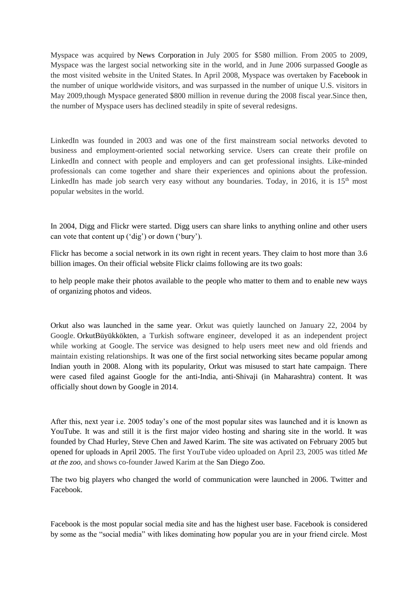Myspace was acquired by News Corporation in July 2005 for \$580 million. From 2005 to 2009, Myspace was the largest social networking site in the world, and in June 2006 surpassed Google as the most visited website in the United States. In April 2008, Myspace was overtaken by Facebook in the number of unique worldwide visitors, and was surpassed in the number of unique U.S. visitors in May 2009,though Myspace generated \$800 million in revenue during the 2008 fiscal year.Since then, the number of Myspace users has declined steadily in spite of several redesigns.

LinkedIn was founded in 2003 and was one of the first mainstream social networks devoted to business and employment-oriented social networking service. Users can create their profile on LinkedIn and connect with people and employers and can get professional insights. Like-minded professionals can come together and share their experiences and opinions about the profession. LinkedIn has made job search very easy without any boundaries. Today, in 2016, it is  $15<sup>th</sup>$  most popular websites in the world.

In 2004, Digg and Flickr were started. Digg users can share links to anything online and other users can vote that content up ('dig') or down ('bury').

Flickr has become a social network in its own right in recent years. They claim to host more than 3.6 billion images. On their official website Flickr claims following are its two goals:

to help people make their photos available to the people who matter to them and to enable new ways of organizing photos and videos.

Orkut also was launched in the same year. Orkut was quietly launched on January 22, 2004 by Google. OrkutBüyükkökten, a Turkish software engineer, developed it as an independent project while working at Google. The service was designed to help users meet new and old friends and maintain existing relationships. It was one of the first social networking sites became popular among Indian youth in 2008. Along with its popularity, Orkut was misused to start hate campaign. There were cased filed against Google for the anti-India, anti-Shivaji (in Maharashtra) content. It was officially shout down by Google in 2014.

After this, next year i.e. 2005 today's one of the most popular sites was launched and it is known as YouTube. It was and still it is the first major video hosting and sharing site in the world. It was founded by Chad Hurley, Steve Chen and Jawed Karim. The site was activated on February 2005 but opened for uploads in April 2005. The first YouTube video uploaded on April 23, 2005 was titled *Me at the zoo*, and shows co-founder Jawed Karim at the San Diego Zoo.

The two big players who changed the world of communication were launched in 2006. Twitter and Facebook.

Facebook is the most popular social media site and has the highest user base. Facebook is considered by some as the "social media" with likes dominating how popular you are in your friend circle. Most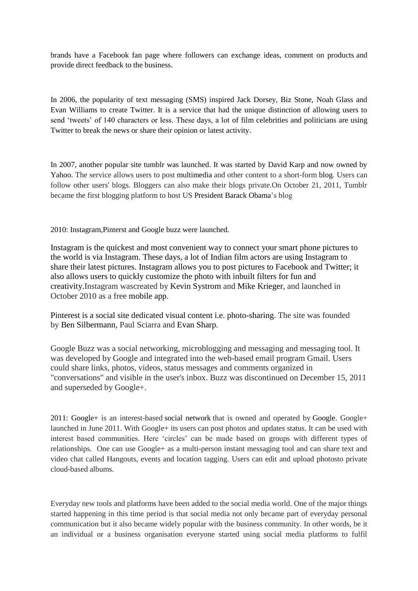brands have a Facebook fan page where followers can exchange ideas, comment on products and provide direct feedback to the business.

In 2006, the popularity of text messaging (SMS) inspired Jack Dorsey, Biz Stone, Noah Glass and Evan Williams to create Twitter. It is a service that had the unique distinction of allowing users to send 'tweets' of 140 characters or less. These days, a lot of film celebrities and politicians are using Twitter to break the news or share their opinion or latest activity.

In 2007, another popular site tumblr was launched. It was started by David Karp and now owned by Yahoo. The service allows users to post multimedia and other content to a short-form blog. Users can follow other users' blogs. Bloggers can also make their blogs private.On October 21, 2011, Tumblr became the first blogging platform to host US President Barack Obama's blog

2010: Instagram,Pinterst and Google buzz were launched.

Instagram is the quickest and most convenient way to connect your smart phone pictures to the world is via Instagram. These days, a lot of Indian film actors are using Instagram to share their latest pictures. Instagram allows you to post pictures to Facebook and Twitter; it also allows users to quickly customize the photo with inbuilt filters for fun and creativity.Instagram wascreated by Kevin Systrom and Mike Krieger, and launched in October 2010 as a free mobile app.

Pinterest is a social site dedicated visual content i.e. photo-sharing. The site was founded by Ben Silbermann, Paul Sciarra and Evan Sharp.

Google Buzz was a social networking, microblogging and messaging and messaging tool. It was developed by Google and integrated into the web-based email program Gmail. Users could share links, photos, videos, status messages and comments organized in "conversations" and visible in the user's inbox. Buzz was discontinued on December 15, 2011 and superseded by Google+.

2011: Google+ is an interest-based social network that is owned and operated by Google. Google+ launched in June 2011. With Google+ its users can post photos and updates status. It can be used with interest based communities. Here 'circles' can be made based on groups with different types of relationships. One can use Google+ as a multi-person instant messaging tool and can share text and video chat called Hangouts, events and location tagging. Users can edit and upload photosto private cloud-based albums.

Everyday new tools and platforms have been added to the social media world. One of the major things started happening in this time period is that social media not only became part of everyday personal communication but it also became widely popular with the business community. In other words, be it an individual or a business organisation everyone started using social media platforms to fulfil